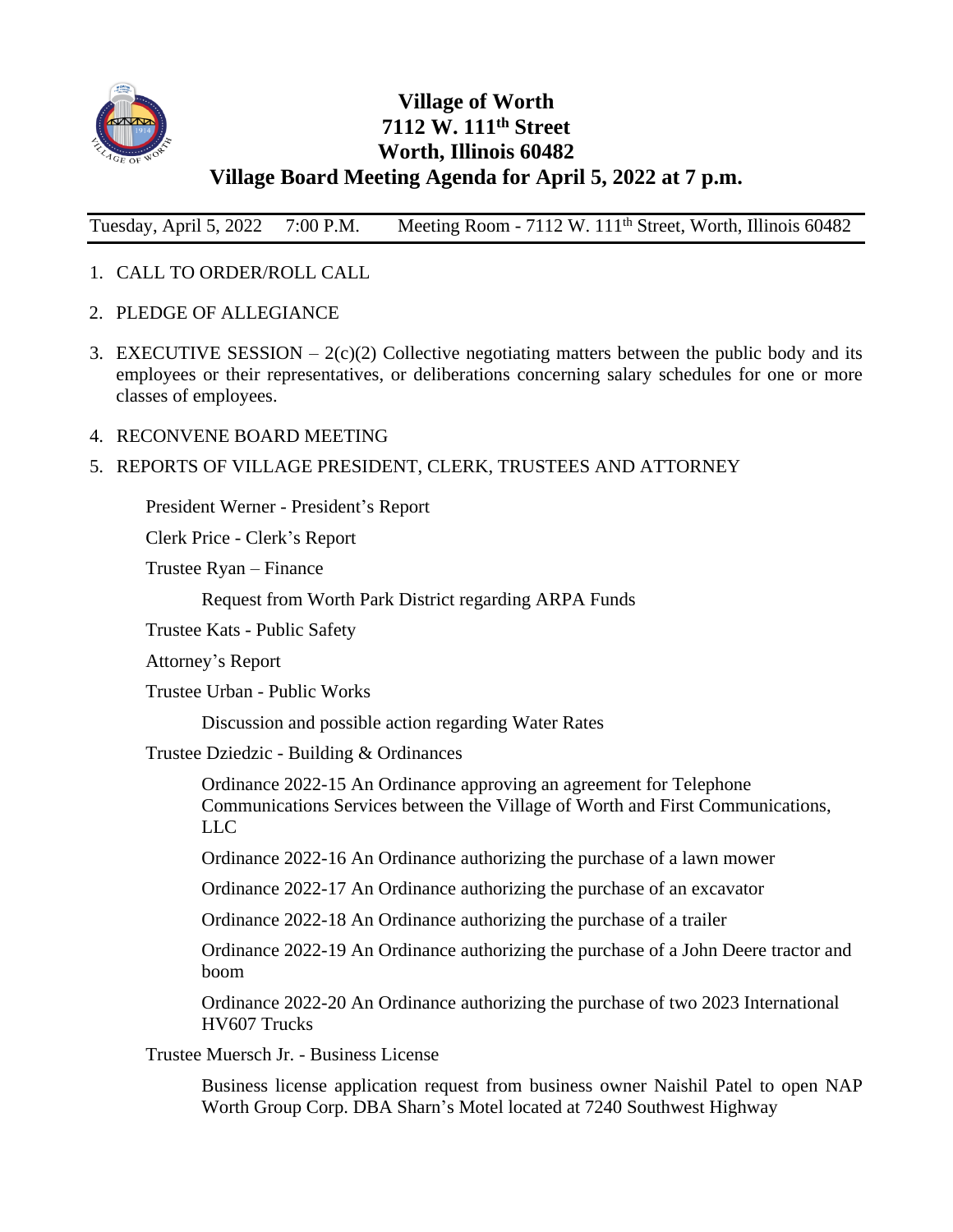

# **Village of Worth 7112 W. 111th Street Worth, Illinois 60482 Village Board Meeting Agenda for April 5, 2022 at 7 p.m.**

Tuesday, April 5, 2022 7:00 P.M. Meeting Room - 7112 W. 111th Street, Worth, Illinois 60482

- 1. CALL TO ORDER/ROLL CALL
- 2. PLEDGE OF ALLEGIANCE
- 3. EXECUTIVE SESSION  $-2(c)(2)$  Collective negotiating matters between the public body and its employees or their representatives, or deliberations concerning salary schedules for one or more classes of employees.
- 4. RECONVENE BOARD MEETING

# 5. REPORTS OF VILLAGE PRESIDENT, CLERK, TRUSTEES AND ATTORNEY

President Werner - President's Report

Clerk Price - Clerk's Report

Trustee Ryan – Finance

Request from Worth Park District regarding ARPA Funds

Trustee Kats - Public Safety

Attorney's Report

Trustee Urban - Public Works

Discussion and possible action regarding Water Rates

Trustee Dziedzic - Building & Ordinances

Ordinance 2022-15 An Ordinance approving an agreement for Telephone Communications Services between the Village of Worth and First Communications, LLC

Ordinance 2022-16 An Ordinance authorizing the purchase of a lawn mower

Ordinance 2022-17 An Ordinance authorizing the purchase of an excavator

Ordinance 2022-18 An Ordinance authorizing the purchase of a trailer

Ordinance 2022-19 An Ordinance authorizing the purchase of a John Deere tractor and boom

Ordinance 2022-20 An Ordinance authorizing the purchase of two 2023 International HV607 Trucks

Trustee Muersch Jr. - Business License

Business license application request from business owner Naishil Patel to open NAP Worth Group Corp. DBA Sharn's Motel located at 7240 Southwest Highway